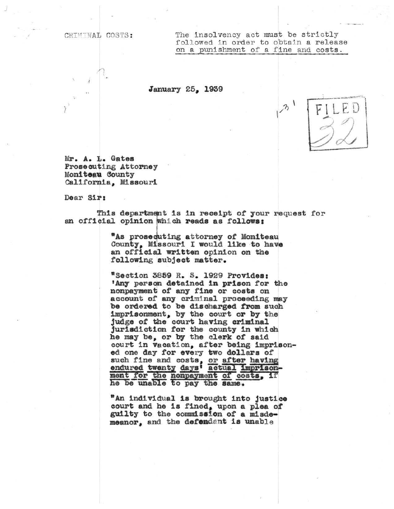CRIMINAL COSTS:

The insolvency act must be strictly followed in order to obtain a release on a punishment of a fine and costs.

January 25, 1939

Mr. A. L. Gates Prosecuting Attorney Moniteau County California, Missouri

Dear Sir:

This department is in receipt of your request for an official opinion which reads as follows:

> "As prosecuting attorney of Moniteau County, Missouri I would like to have an official written opinion on the following subject matter.

"Section 3859 R. S. 1929 Provides: 'Any person detained in prison for the nonpayment of any fine or costs on account of any criminal proceeding may be ordered to be discharged from such imprisonment, by the court or by the judge of the court having criminal jurisdiction for the county in which he may be, or by the clerk of said court in vacation, after being imprisoned one day for every two dollars of such fine and costs, or after having<br>endured twenty days' actual imprisonment for the nonpayment of costs, if<br>he be unable to pay the same.

"An individual is brought into justice court and he is fined, upon a plea of guilty to the commission of a misdemeanor, and the defendant is unable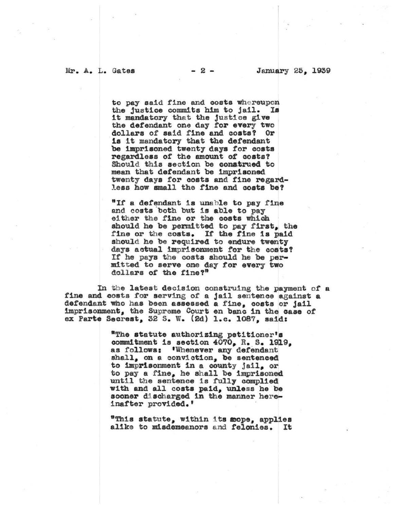to pay said fine and costs whereupon the justice commits him to jail. Is it mandatory that the justice give the defendant one day for every two dollars of said fine and costs? Or is it mandatory that the defendant be imprisoned twenty days for costs regardless of the amount of costs? Should this section be construed to mean that defendant be imprisoned twenty days for costs and fine regardless how small the fine and costs be?

"If a defendant is unable to pay fine and costs both but is able to pay either the fine or the costs which should he be permitted to pay first, the fine or the costs. If the fine is paid should he be required to endure twenty days actual imprisonment for the costs? If he pays the costs should he be permitted to serve one day for every two dollars of the fine?"

In the latest decision construing the payment of a fine and costs for serving of a jail sentence against a defendant who has been assessed a fine, costs or jail imprisonment, the Supreme Court en banc in the case of ex Parte Secrest, 32 S. W. (2d) 1.c. 1087, said:

> "The statute authorizing petitioner's commitment is section 4070, R. S. 1919, as follows: 'Whenever any defendant shall, on a conviction, be sentenced to imprisonment in a county jail, or to pay a fine, he shall be imprisoned until the sentence is fully complied with and all costs paid, unless he be sooner discharged in the manner hereinafter provided.'

"This statute, within its mope, applies alike to misdemeanors and felonies. It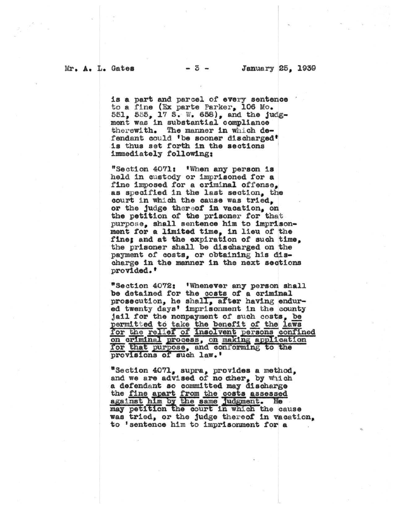is a part and parcel of every sentence to a fine (Ex parte Parker, 106 Mo. 551, 555, 17 S. W. 658), and the judg-ment was in substantial compliance The manner in which detherewith. fendant could 'be sooner discharged' is thus set forth in the sections immediately following:

"Section 4071: 'When any person is held in custody or imprisoned for a fine imposed for a criminal offense, as specified in the last section, the court in which the cause was tried, or the judge thereof in vacation, on the petition of the prisoner for that purpose, shall sentence him to imprisonment for a limited time, in lieu of the fine; and at the expiration of such time, the prisoner shall be discharged on the payment of costs, or obtaining his discharge in the manner in the next sections provided.'

"Section 4072: 'Whenever any person shall be detained for the costs of a criminal prosecution, he shall, after having endured twenty days' imprisonment in the county jail for the nonpayment of such costs, be permitted to take the benefit of the laws for the relief of Insolvent persons confined on criminal process, on making application for that purpose, and conforming to the provisions of such law.'

"Section 4071, supra, provides a method, and we are advised of no cher, by which a defendant so committed may discharge the fine apart from the costs assessed<br>against him by the same judgment. He may petition the court in which the cause was tried, or the judge thereof in vacation, to 'sentence him to imprisonment for a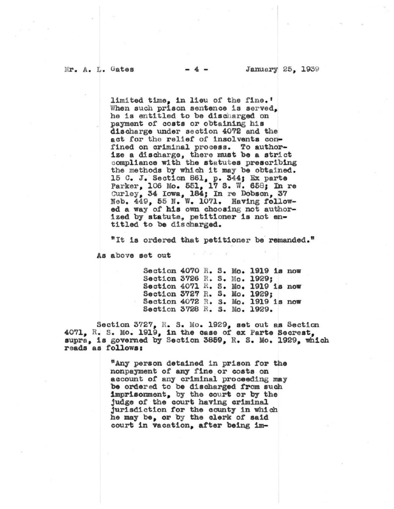limited time, in lieu of the fine.'<br>When such prison sentence is served. he is entitled to be discharged on payment of costs or obtaining his discharge under section 4072 and the act for the relief of insolvents con-<br>fined on criminal process. To authorize a discharge, there must be a strict compliance with the statutes prescribing the methods by which it may be obtained. 15 C. J. Section 861, p. 344; Ex parte Parker, 106 Mo. 551, 17 S. W. 658; In re Gurley, 34 Iowa, 184; In re Dobson, 37 Neb. 449, 55 N. W. 1071. Having followed a way of his own choosing not author-<br>ized by statute, petitioner is not en-<br>titled to be discharged.

"It is ordered that petitioner be remanded."

As above set out

Section 4070 R. s. Mo. 1919 ia now Section 3726 R. S. Mo. 1929; Section  $4071$  R. S. Mo. 1919 is now Section 3727 R. S. Mo. 1929; Section  $4072$  R. S. Mo. 1919 is now Section 3728 R. s. Mo. 1929.

Section 3727, R. S. Mo. 1929, set out as Section 4071, R. s. Mo. 1919, in the case of ex Parte Secrest, supra, is governed by Section 3859, R. S. Mo. 1929, which reads as follows:

> "Any person detained in prison for the nonpayment of any fine or costs on account of any criminal proceeding may be order ed to be discharged from such 1mpriaonment, by the court or by the judge of the court having criminal jurisdiction tor the county in whioh he may be, or by the clerk of said court 1n vacation, atter being 1m-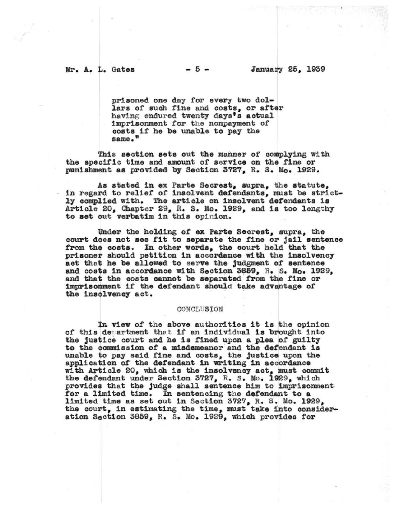prisoned one day for every two dollars of such fine and costs, or after having endured twenty days's actual imprisonment for the nonpayment of costs if he be unable to pay the same."

This section sets out the manner of complying with the specific time and amount of service on the fine or punishment as provided by Section 3727, R. S. Mo. 1929.

As stated in ex Parte Secrest, supra, the statute, in regard to relief of insolvent defendants, must be strictly complied with. The article on insolvent defendants is Article 20, Chapter 29, R. S. Mo. 1929, and is too lengthy to set out verbatim in this opinion.

Under the holding of ex Parte Secrest, supra, the court does not see fit to separate the fine or jail sentence from the costs. In other words, the court held that the prisoner should petition in accordance with the insolvency act that he be allowed to serve the judgment of sentence and costs in accordance with Section 3859. R. S. Mo. 1929. and that the costs cannot be separated from the fine or imprisonment if the defendant should take advantage of the insolvency act.

## CONCLUSION

In view of the above authorities it is the opinion of this department that if an individual is brought into the justice court and he is fined upon a plea of guilty to the commission of a misdemeanor and the defendant is unable to pay said fine and costs, the justice upon the application of the defendant in writing in accordance with Article 20, which is the insolvency act, must commit the defendant under Section 3727, R. S. Mo. 1929, which provides that the judge shall sentence him to imprisonment for a limited time. In sentencing the defendant to a limited time as set out in Section 3727, R. S. Mo. 1929, the court, in estimating the time, must take into consideration Section 3859, R. S. Mo. 1929, which provides for